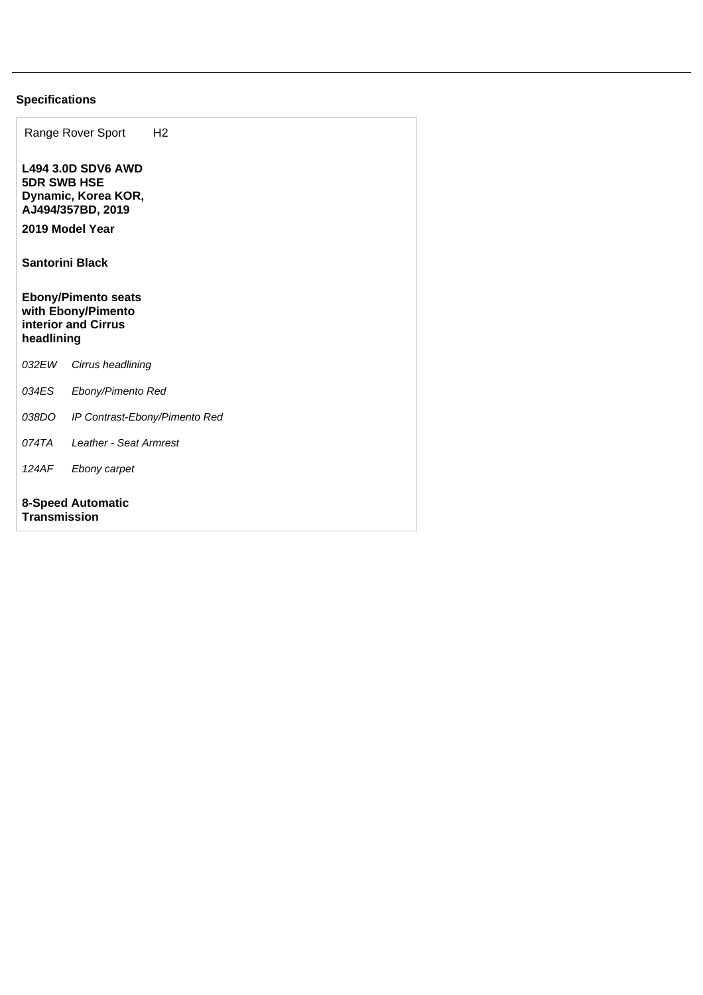## **Specifications**

|                                                                                       | Range Rover Sport                                                     | H <sub>2</sub> |  |
|---------------------------------------------------------------------------------------|-----------------------------------------------------------------------|----------------|--|
| <b>5DR SWB HSE</b><br>2019 Model Year                                                 | <b>L494 3.0D SDV6 AWD</b><br>Dynamic, Korea KOR,<br>AJ494/357BD, 2019 |                |  |
| <b>Santorini Black</b>                                                                |                                                                       |                |  |
| <b>Ebony/Pimento seats</b><br>with Ebony/Pimento<br>interior and Cirrus<br>headlining |                                                                       |                |  |
| 032 EW                                                                                | Cirrus headlining                                                     |                |  |
| 034ES                                                                                 | Ebony/Pimento Red                                                     |                |  |
|                                                                                       | 038DO IP Contrast-Ebony/Pimento Red                                   |                |  |
| 074TA                                                                                 | Leather - Seat Armrest                                                |                |  |
| 124AF                                                                                 | Ebony carpet                                                          |                |  |
| <b>8-Speed Automatic</b><br><b>Transmission</b>                                       |                                                                       |                |  |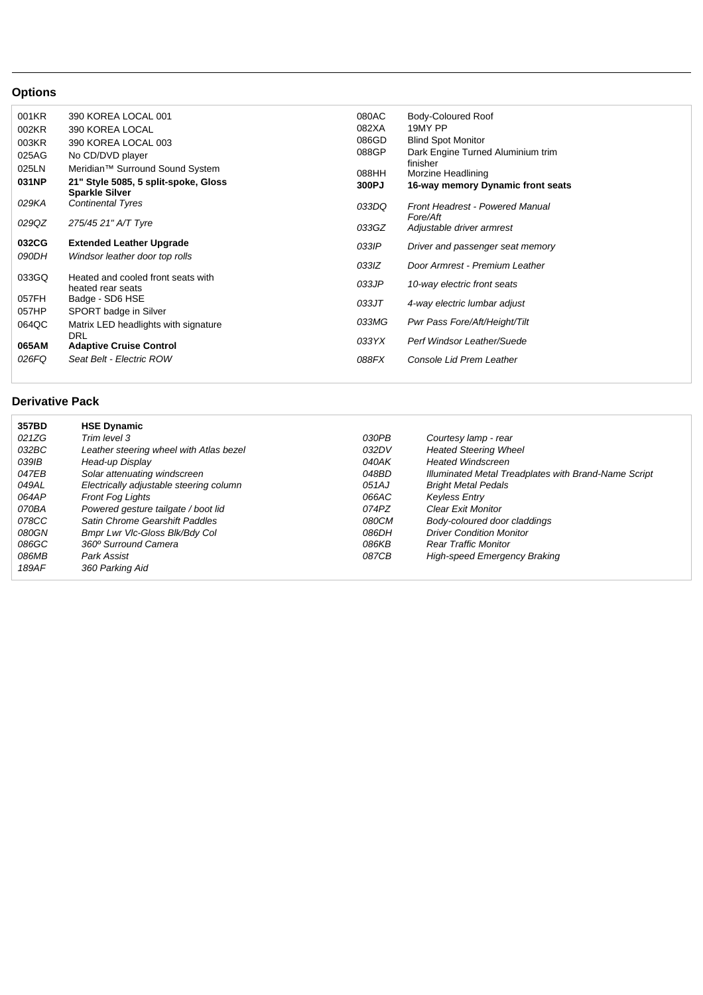## **Options**

| 001KR | 390 KOREA LOCAL 001                                           | 080AC | Body-Coloured Roof                |
|-------|---------------------------------------------------------------|-------|-----------------------------------|
| 002KR | 390 KOREA LOCAL                                               | 082XA | 19MY PP                           |
| 003KR | 390 KOREA LOCAL 003                                           | 086GD | <b>Blind Spot Monitor</b>         |
| 025AG | No CD/DVD player                                              | 088GP | Dark Engine Turned Aluminium trim |
| 025LN | Meridian <sup>™</sup> Surround Sound System                   |       | finisher                          |
|       |                                                               | 088HH | Morzine Headlining                |
| 031NP | 21" Style 5085, 5 split-spoke, Gloss<br><b>Sparkle Silver</b> | 300PJ | 16-way memory Dynamic front seats |
| 029KA | <b>Continental Tyres</b>                                      | 033DQ | Front Headrest - Powered Manual   |
|       |                                                               |       | Fore/Aft                          |
| 029QZ | 275/45 21" A/T Tyre                                           | 033GZ | Adjustable driver armrest         |
| 032CG | <b>Extended Leather Upgrade</b>                               | 033IP | Driver and passenger seat memory  |
| 090DH | Windsor leather door top rolls                                |       |                                   |
|       |                                                               | 033IZ | Door Armrest - Premium Leather    |
| 033GQ | Heated and cooled front seats with                            |       |                                   |
|       | heated rear seats                                             | 033JP | 10-way electric front seats       |
| 057FH | Badge - SD6 HSE                                               | 033JT | 4-way electric lumbar adjust      |
| 057HP | SPORT badge in Silver                                         |       |                                   |
| 064QC | Matrix LED headlights with signature                          | 033MG | Pwr Pass Fore/Aft/Height/Tilt     |
|       | DRL                                                           |       |                                   |
| 065AM | <b>Adaptive Cruise Control</b>                                | 033YX | Perf Windsor Leather/Suede        |
| 026FQ | Seat Belt - Electric ROW                                      | 088FX | Console Lid Prem Leather          |
|       |                                                               |       |                                   |

## **Derivative Pack**

| 357BD | <b>HSE Dynamic</b>                      |       |                                                      |
|-------|-----------------------------------------|-------|------------------------------------------------------|
| 021ZG | Trim level 3                            | 030PB | Courtesy lamp - rear                                 |
| 032BC | Leather steering wheel with Atlas bezel | 032DV | <b>Heated Steering Wheel</b>                         |
| 039IB | Head-up Display                         | 040AK | <b>Heated Windscreen</b>                             |
| 047EB | Solar attenuating windscreen            | 048BD | Illuminated Metal Treadplates with Brand-Name Script |
| 049AL | Electrically adjustable steering column | 051AJ | <b>Bright Metal Pedals</b>                           |
| 064AP | <b>Front Fog Lights</b>                 | 066AC | <b>Keyless Entry</b>                                 |
| 070BA | Powered gesture tailgate / boot lid     | 074PZ | <b>Clear Exit Monitor</b>                            |
| 078CC | Satin Chrome Gearshift Paddles          | 080CM | Body-coloured door claddings                         |
| 080GN | Bmpr Lwr VIc-Gloss BIk/Bdy Col          | 086DH | <b>Driver Condition Monitor</b>                      |
| 086GC | 360° Surround Camera                    | 086KB | <b>Rear Traffic Monitor</b>                          |
| 086MB | Park Assist                             | 087CB | High-speed Emergency Braking                         |
| 189AF | 360 Parking Aid                         |       |                                                      |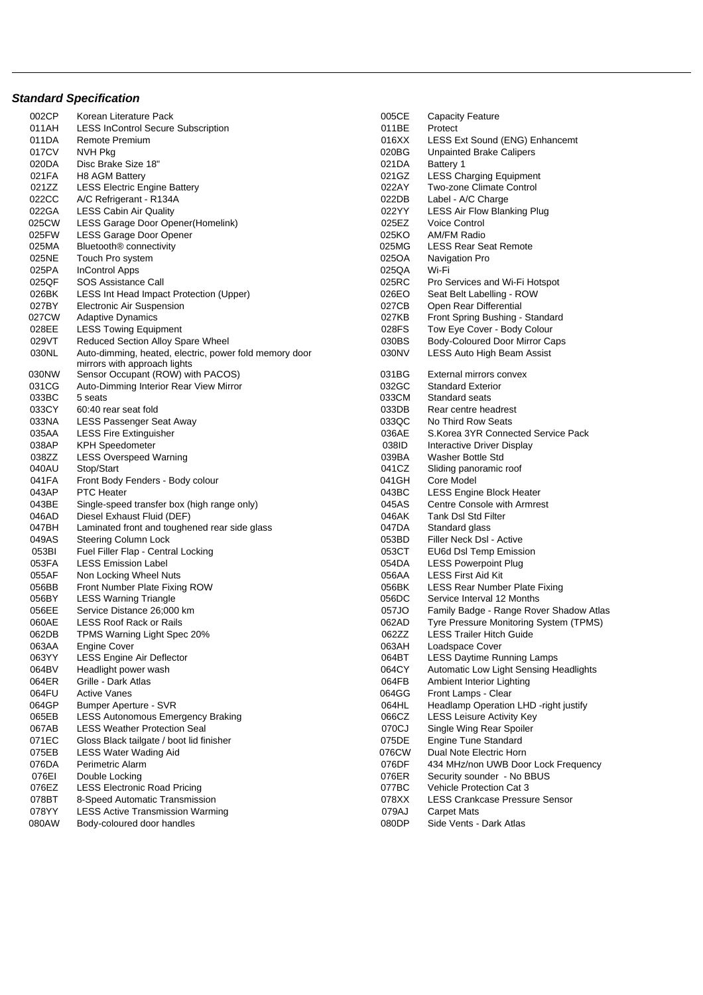## **Standard Specification**

| 002CP | Korean Literature Pack                                 | 005CE | <b>Capacity Feature</b>                 |
|-------|--------------------------------------------------------|-------|-----------------------------------------|
| 011AH | <b>LESS InControl Secure Subscription</b>              | 011BE | Protect                                 |
| 011DA | Remote Premium                                         | 016XX | LESS Ext Sound (ENG) Enhancemt          |
| 017CV | NVH Pkg                                                | 020BG | <b>Unpainted Brake Calipers</b>         |
| 020DA | Disc Brake Size 18"                                    | 021DA | Battery 1                               |
| 021FA | <b>H8 AGM Battery</b>                                  | 021GZ | <b>LESS Charging Equipment</b>          |
| 021ZZ | <b>LESS Electric Engine Battery</b>                    | 022AY | Two-zone Climate Control                |
| 022CC | A/C Refrigerant - R134A                                | 022DB | Label - A/C Charge                      |
| 022GA | <b>LESS Cabin Air Quality</b>                          | 022YY | LESS Air Flow Blanking Plug             |
| 025CW | LESS Garage Door Opener(Homelink)                      | 025EZ | <b>Voice Control</b>                    |
| 025FW | LESS Garage Door Opener                                | 025KO | <b>AM/FM Radio</b>                      |
| 025MA | Bluetooth <sup>®</sup> connectivity                    | 025MG | <b>LESS Rear Seat Remote</b>            |
| 025NE | Touch Pro system                                       | 025OA | Navigation Pro                          |
| 025PA | <b>InControl Apps</b>                                  | 025QA | Wi-Fi                                   |
| 025QF | SOS Assistance Call                                    | 025RC |                                         |
|       |                                                        |       | Pro Services and Wi-Fi Hotspot          |
| 026BK | LESS Int Head Impact Protection (Upper)                | 026EO | Seat Belt Labelling - ROW               |
| 027BY | Electronic Air Suspension                              | 027CB | Open Rear Differential                  |
| 027CW | <b>Adaptive Dynamics</b>                               | 027KB | Front Spring Bushing - Standard         |
| 028EE | <b>LESS Towing Equipment</b>                           | 028FS | Tow Eye Cover - Body Colour             |
| 029VT | Reduced Section Alloy Spare Wheel                      | 030BS | Body-Coloured Door Mirror Caps          |
| 030NL | Auto-dimming, heated, electric, power fold memory door | 030NV | <b>LESS Auto High Beam Assist</b>       |
|       | mirrors with approach lights                           |       |                                         |
| 030NW | Sensor Occupant (ROW) with PACOS)                      | 031BG | External mirrors convex                 |
| 031CG | Auto-Dimming Interior Rear View Mirror                 | 032GC | <b>Standard Exterior</b>                |
| 033BC | 5 seats                                                | 033CM | Standard seats                          |
| 033CY | 60:40 rear seat fold                                   | 033DB | Rear centre headrest                    |
| 033NA | <b>LESS Passenger Seat Away</b>                        | 033QC | No Third Row Seats                      |
| 035AA | <b>LESS Fire Extinguisher</b>                          | 036AE | S. Korea 3YR Connected Service Pack     |
| 038AP | <b>KPH Speedometer</b>                                 | 038ID | Interactive Driver Display              |
| 038ZZ | <b>LESS Overspeed Warning</b>                          | 039BA | Washer Bottle Std                       |
| 040AU | Stop/Start                                             | 041CZ | Sliding panoramic roof                  |
| 041FA | Front Body Fenders - Body colour                       | 041GH | Core Model                              |
| 043AP | <b>PTC Heater</b>                                      | 043BC | LESS Engine Block Heater                |
| 043BE | Single-speed transfer box (high range only)            | 045AS | <b>Centre Console with Armrest</b>      |
| 046AD | Diesel Exhaust Fluid (DEF)                             | 046AK | Tank Dsl Std Filter                     |
| 047BH | Laminated front and toughened rear side glass          | 047DA | Standard glass                          |
| 049AS | Steering Column Lock                                   | 053BD | Filler Neck DsI - Active                |
| 053BI | Fuel Filler Flap - Central Locking                     | 053CT | EU6d DsI Temp Emission                  |
| 053FA | <b>LESS Emission Label</b>                             | 054DA | <b>LESS Powerpoint Plug</b>             |
| 055AF | Non Locking Wheel Nuts                                 | 056AA | <b>LESS First Aid Kit</b>               |
| 056BB | Front Number Plate Fixing ROW                          | 056BK | <b>LESS Rear Number Plate Fixing</b>    |
| 056BY | <b>LESS Warning Triangle</b>                           | 056DC | Service Interval 12 Months              |
| 056EE | Service Distance 26:000 km                             | 057JO | Family Badge - Range Rover Shadow Atlas |
| 060AE | <b>LESS Roof Rack or Rails</b>                         | 062AD | Tyre Pressure Monitoring System (TPMS)  |
| 062DB | TPMS Warning Light Spec 20%                            | 062ZZ | <b>LESS Trailer Hitch Guide</b>         |
| 063AA | <b>Engine Cover</b>                                    | 063AH | Loadspace Cover                         |
| 063YY | LESS Engine Air Deflector                              | 064BT | <b>LESS Daytime Running Lamps</b>       |
| 064BV | Headlight power wash                                   | 064CY | Automatic Low Light Sensing Headlights  |
| 064ER | Grille - Dark Atlas                                    | 064FB | Ambient Interior Lighting               |
| 064FU | <b>Active Vanes</b>                                    | 064GG | Front Lamps - Clear                     |
| 064GP | <b>Bumper Aperture - SVR</b>                           | 064HL | Headlamp Operation LHD -right justify   |
| 065EB | <b>LESS Autonomous Emergency Braking</b>               | 066CZ | <b>LESS Leisure Activity Key</b>        |
| 067AB | <b>LESS Weather Protection Seal</b>                    | 070CJ | Single Wing Rear Spoiler                |
|       |                                                        |       |                                         |
| 071EC | Gloss Black tailgate / boot lid finisher               | 075DE | Engine Tune Standard                    |
| 075EB | <b>LESS Water Wading Aid</b>                           | 076CW | Dual Note Electric Horn                 |
| 076DA | Perimetric Alarm                                       | 076DF | 434 MHz/non UWB Door Lock Frequency     |
| 076EI | Double Locking                                         | 076ER | Security sounder - No BBUS              |
| 076EZ | <b>LESS Electronic Road Pricing</b>                    | 077BC | Vehicle Protection Cat 3                |
| 078BT | 8-Speed Automatic Transmission                         | 078XX | <b>LESS Crankcase Pressure Sensor</b>   |
| 078YY | <b>LESS Active Transmission Warming</b>                | 079AJ | <b>Carpet Mats</b>                      |
| 080AW | Body-coloured door handles                             | 080DP | Side Vents - Dark Atlas                 |

| 005CE          | <b>Capacity Feature</b>                |
|----------------|----------------------------------------|
| 011BE          | Protect                                |
| 016XX          | LESS Ext Sound (ENG) Enhancemt         |
| 020BG          | <b>Unpainted Brake Calipers</b>        |
| 021DA          | Battery 1                              |
| 021GZ          | <b>LESS Charging Equipment</b>         |
| 022AY          | Two-zone Climate Control               |
| 022DB          | Label - A/C Charge                     |
| 022YY          | LESS Air Flow Blanking Plug            |
| 025EZ          | <b>Voice Control</b>                   |
| 025KO          | <b>AM/FM Radio</b>                     |
| 025MG          | <b>LESS Rear Seat Remote</b>           |
| 025OA          | Navigation Pro                         |
|                |                                        |
| 025QA          | Wi-Fi                                  |
| 025RC          | Pro Services and Wi-Fi Hotspot         |
| 026EO          | Seat Belt Labelling - ROW              |
| 027CB          | Open Rear Differential                 |
| 027KB          | Front Spring Bushing - Standard        |
| 028FS          | Tow Eye Cover - Body Colour            |
| 030BS          | <b>Body-Coloured Door Mirror Caps</b>  |
| 030NV          | LESS Auto High Beam Assist             |
| 031BG          | External mirrors convex                |
| 032GC          | <b>Standard Exterior</b>               |
| 033CM          | Standard seats                         |
| 033DB          | Rear centre headrest                   |
|                | No Third Row Seats                     |
| 033QC<br>036AE | S.Korea 3YR Connected Service Pack     |
|                |                                        |
| 038ID          | Interactive Driver Display             |
| 039BA          | Washer Bottle Std                      |
| 041CZ          | Sliding panoramic roof                 |
| 041GH          | Core Model                             |
| 043BC          | LESS Engine Block Heater               |
| 045AS          | <b>Centre Console with Armrest</b>     |
| 046AK          | <b>Tank DsI Std Filter</b>             |
| 047DA          | Standard glass                         |
| 053BD          | Filler Neck DsI - Active               |
| 053CT          | EU6d Dsl Temp Emission                 |
| 054DA          | <b>LESS Powerpoint Plug</b>            |
| 056AA          | <b>LESS First Aid Kit</b>              |
| 056BK          | LESS Rear Number Plate Fixing          |
| 056DC          | Service Interval 12 Months             |
| 057JO          | Family Badge - Range Rover Shadow Atla |
| 062AD          | Tyre Pressure Monitoring System (TPMS) |
| 062ZZ          | <b>LESS Trailer Hitch Guide</b>        |
| 063AH          | Loadspace Cover                        |
| 064BT          | <b>LESS Daytime Running Lamps</b>      |
| 064CY          | Automatic Low Light Sensing Headlights |
| 064FB          | Ambient Interior Lighting              |
| 064GG          | Front Lamps - Clear                    |
|                |                                        |
| 064HL          | Headlamp Operation LHD -right justify  |
| 066CZ          | <b>LESS Leisure Activity Key</b>       |
| 070CJ          | Single Wing Rear Spoiler               |
| 075DE          | <b>Engine Tune Standard</b>            |
| 076CW          | Dual Note Electric Horn                |
| 076DF          | 434 MHz/non UWB Door Lock Frequency    |
| 076ER          | Security sounder - No BBUS             |
| 077BC          | Vehicle Protection Cat 3               |
| 078XX          | <b>LESS Crankcase Pressure Sensor</b>  |
| 079AJ          | <b>Carpet Mats</b>                     |
| 080DP          | Side Vents - Dark Atlas                |